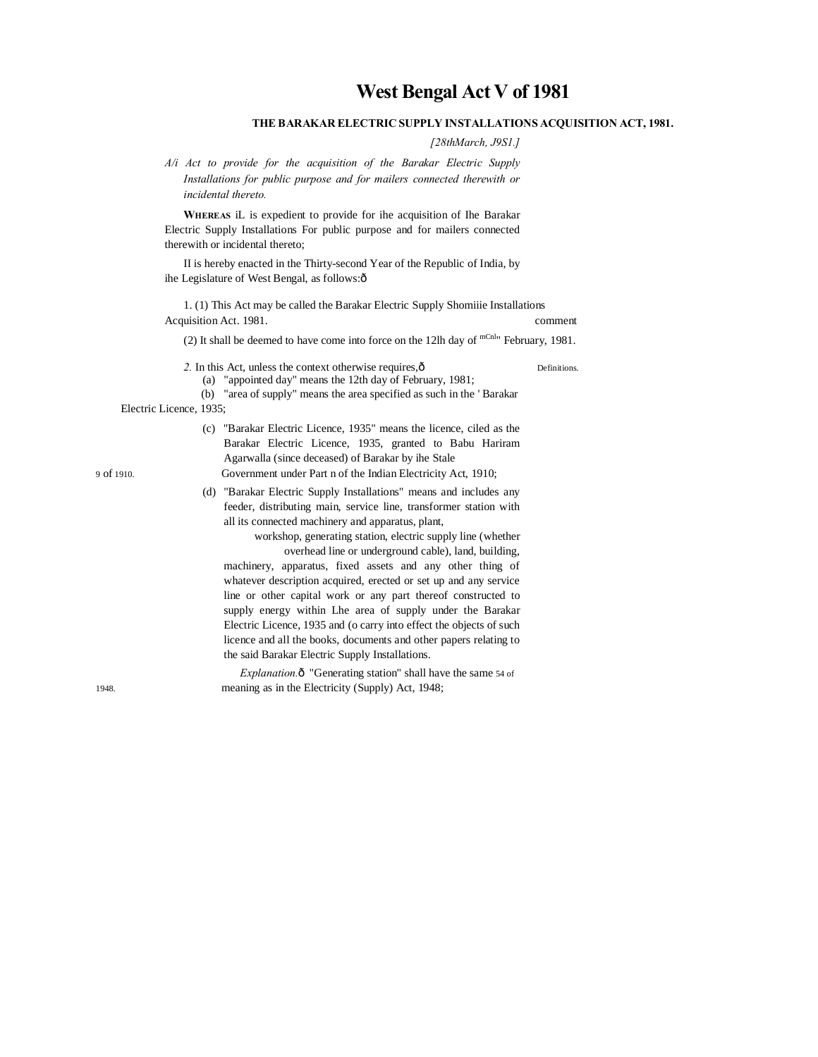# **West Bengal Act V of 1981**

# **THE BARAKAR ELECTRIC SUPPLY INSTALLATIONS ACQUISITION ACT, 1981.**

*[28thMarch, J9S1.]*

*A/i Act to provide for the acquisition of the Barakar Electric Supply Installations for public purpose and for mailers connected therewith or incidental thereto.*

**WHEREAS** iL is expedient to provide for ihe acquisition of Ihe Barakar Electric Supply Installations For public purpose and for mailers connected therewith or incidental thereto;

II is hereby enacted in the Thirty-second Year of the Republic of India, by ihe Legislature of West Bengal, as follows:ô

1. (1) This Act may be called the Barakar Electric Supply Shomiiie Installations Acquisition Act. 1981. comment

(2) It shall be deemed to have come into force on the 12lh day of  $^{mChl}$  February, 1981.

2. In this Act, unless the context otherwise requires, $\hat{0}$  Definitions.

(a) "appointed day" means the 12th day of February, 1981;

(b) "area of supply" means the area specified as such in the ' Barakar

Electric Licence, 1935;

- (c) "Barakar Electric Licence, 1935" means the licence, ciled as the Barakar Electric Licence, 1935, granted to Babu Hariram Agarwalla (since deceased) of Barakar by ihe Stale 9 of 1910. Government under Part n of the Indian Electricity Act, 1910;
	- (d) "Barakar Electric Supply Installations" means and includes any feeder, distributing main, service line, transformer station with all its connected machinery and apparatus, plant,

workshop, generating station, electric supply line (whether overhead line or underground cable), land, building,

machinery, apparatus, fixed assets and any other thing of whatever description acquired, erected or set up and any service line or other capital work or any part thereof constructed to supply energy within Lhe area of supply under the Barakar Electric Licence, 1935 and (o carry into effect the objects of such licence and all the books, documents and other papers relating to the said Barakar Electric Supply Installations.

*Explanation.* $\hat{o}$  "Generating station" shall have the same 54 of 1948. meaning as in the Electricity (Supply) Act, 1948;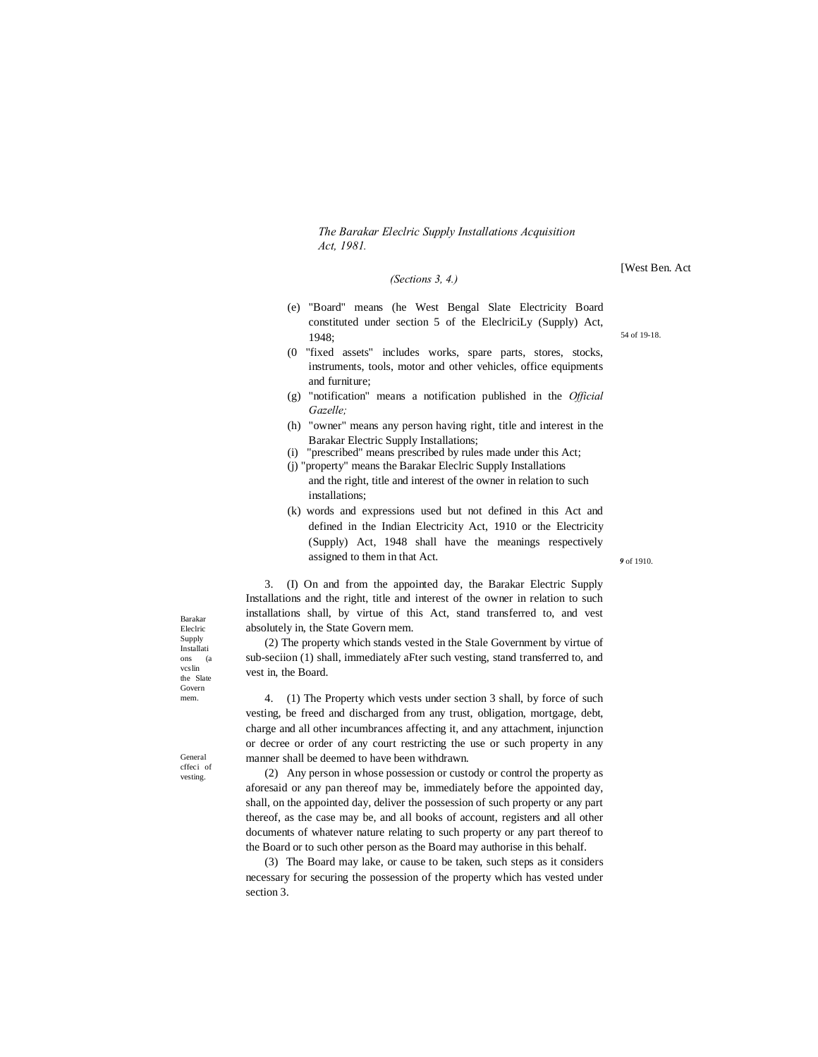#### *(Sections 3, 4.)*

- (e) "Board" means (he West Bengal Slate Electricity Board constituted under section 5 of the EleclriciLy (Supply) Act, 1948;
- (0 "fixed assets" includes works, spare parts, stores, stocks, instruments, tools, motor and other vehicles, office equipments and furniture;
- (g) "notification" means a notification published in the *Official Gazelle;*
- (h) "owner" means any person having right, title and interest in the Barakar Electric Supply Installations;
- (i) "prescribed" means prescribed by rules made under this Act;
- (j) "property" means the Barakar Eleclric Supply Installations and the right, title and interest of the owner in relation to such installations;
- (k) words and expressions used but not defined in this Act and defined in the Indian Electricity Act, 1910 or the Electricity (Supply) Act, 1948 shall have the meanings respectively assigned to them in that Act.

3. (I) On and from the appointed day, the Barakar Electric Supply Installations and the right, title and interest of the owner in relation to such installations shall, by virtue of this Act, stand transferred to, and vest absolutely in, the State Govern mem.

(2) The property which stands vested in the Stale Government by virtue of sub-seciion (1) shall, immediately aFter such vesting, stand transferred to, and vest in, the Board.

4. (1) The Property which vests under section 3 shall, by force of such vesting, be freed and discharged from any trust, obligation, mortgage, debt, charge and all other incumbrances affecting it, and any attachment, injunction or decree or order of any court restricting the use or such property in any manner shall be deemed to have been withdrawn.

(2) Any person in whose possession or custody or control the property as aforesaid or any pan thereof may be, immediately before the appointed day, shall, on the appointed day, deliver the possession of such property or any part thereof, as the case may be, and all books of account, registers and all other documents of whatever nature relating to such property or any part thereof to the Board or to such other person as the Board may authorise in this behalf.

(3) The Board may lake, or cause to be taken, such steps as it considers necessary for securing the possession of the property which has vested under section 3.

Barakar Eleclric Supply Installati ons (a vcslin the Slate Govern mem.

General cffeci of vesting.

[West Ben. Act

54 of 19-18.

*9* of 1910.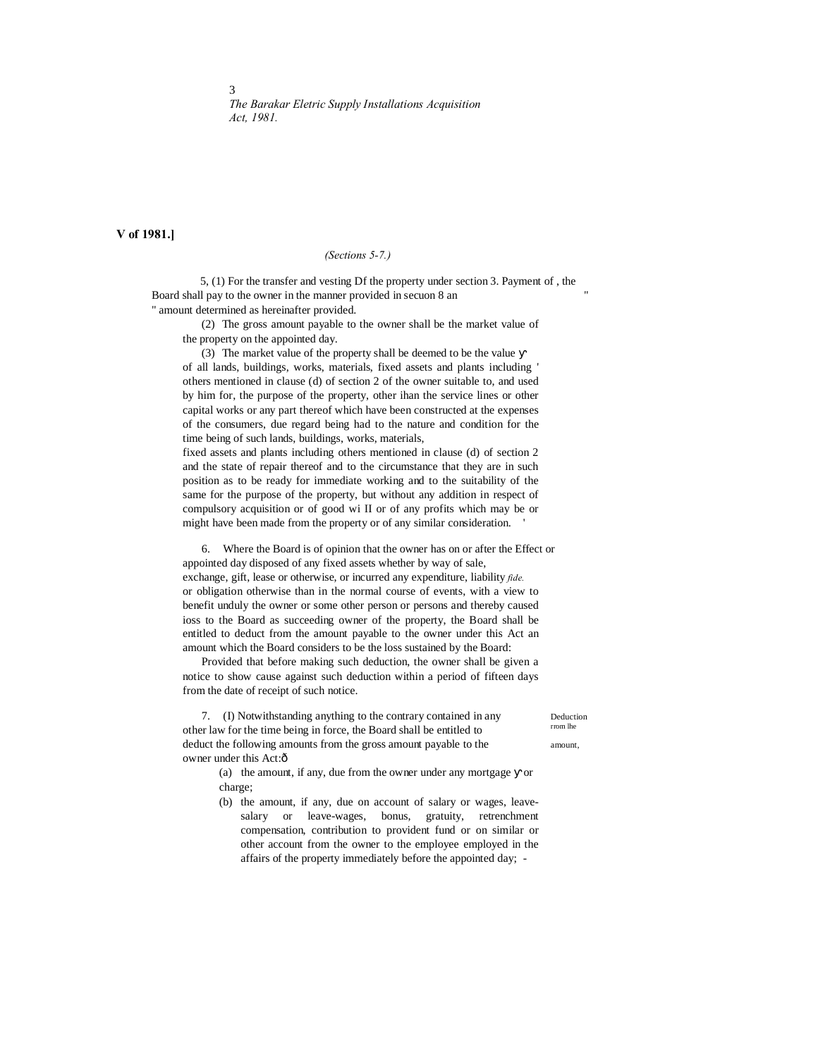**V of 1981.]**

3

## *(Sections 5-7.)*

5, (1) For the transfer and vesting Df the property under section 3. Payment of , the Board shall pay to the owner in the manner provided in secuon 8 an " amount determined as hereinafter provided.

(2) The gross amount payable to the owner shall be the market value of the property on the appointed day.

(3) The market value of the property shall be deemed to be the value of all lands, buildings, works, materials, fixed assets and plants including ' others mentioned in clause (d) of section 2 of the owner suitable to, and used by him for, the purpose of the property, other ihan the service lines or other capital works or any part thereof which have been constructed at the expenses of the consumers, due regard being had to the nature and condition for the time being of such lands, buildings, works, materials,

fixed assets and plants including others mentioned in clause (d) of section 2 and the state of repair thereof and to the circumstance that they are in such position as to be ready for immediate working and to the suitability of the same for the purpose of the property, but without any addition in respect of compulsory acquisition or of good wi II or of any profits which may be or might have been made from the property or of any similar consideration. '

6. Where the Board is of opinion that the owner has on or after the Effect or appointed day disposed of any fixed assets whether by way of sale, exchange, gift, lease or otherwise, or incurred any expenditure, liability *fide.* or obligation otherwise than in the normal course of events, with a view to benefit unduly the owner or some other person or persons and thereby caused ioss to the Board as succeeding owner of the property, the Board shall be entitled to deduct from the amount payable to the owner under this Act an amount which the Board considers to be the loss sustained by the Board:

Provided that before making such deduction, the owner shall be given a notice to show cause against such deduction within a period of fifteen days from the date of receipt of such notice.

7. (I) Notwithstanding anything to the contrary contained in any Deduction other law for the time being in force, the Board shall be entitled to deduct the following amounts from the gross amount payable to the amount, owner under this Act:ô

(a) the amount, if any, due from the owner under any mortgage or charge;

(b) the amount, if any, due on account of salary or wages, leavesalary or leave-wages, bonus, gratuity, retrenchment compensation, contribution to provident fund or on similar or other account from the owner to the employee employed in the affairs of the property immediately before the appointed day; -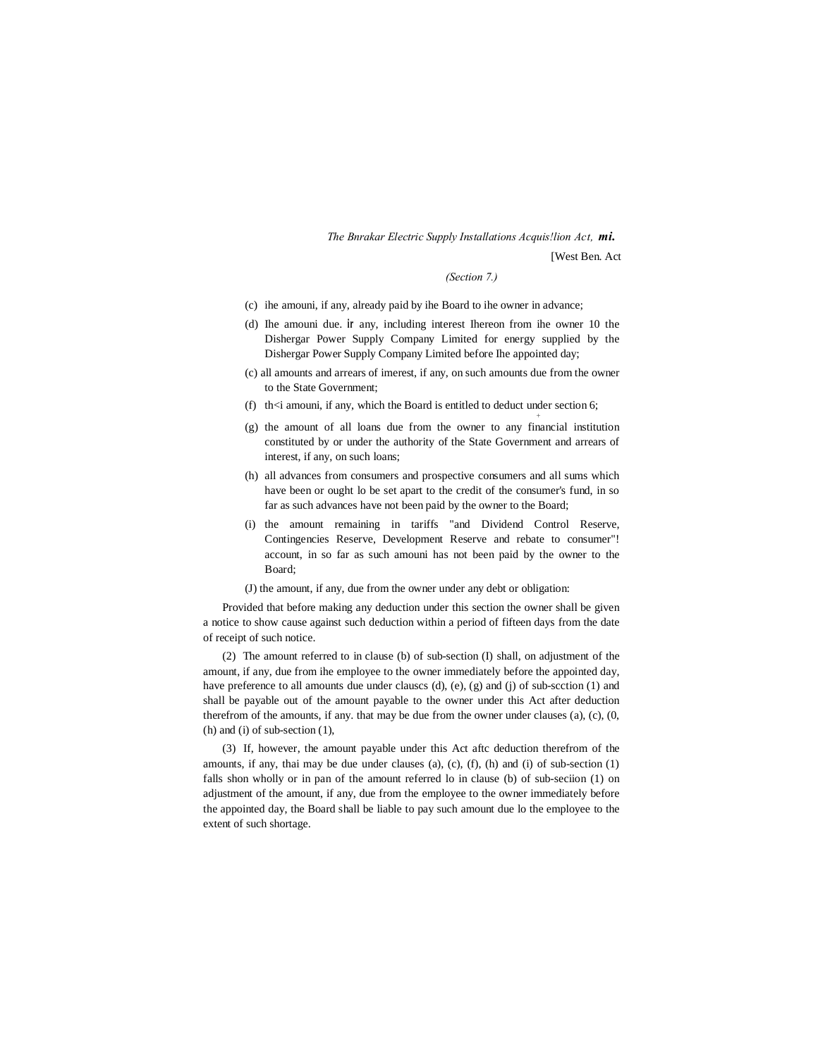# *The Bnrakar Electric Supply Installations Acquis!lion Act, mi.* [West Ben. Act

#### *(Section 7.)*

*+*

- (c) ihe amouni, if any, already paid by ihe Board to ihe owner in advance;
- (d) Ihe amouni due. **ir** any, including interest Ihereon from ihe owner 10 the Dishergar Power Supply Company Limited for energy supplied by the Dishergar Power Supply Company Limited before Ihe appointed day;
- (c) all amounts and arrears of imerest, if any, on such amounts due from the owner to the State Government;
- (f) th $\leq$  amouni, if any, which the Board is entitled to deduct under section 6;
- (g) the amount of all loans due from the owner to any financial institution constituted by or under the authority of the State Government and arrears of interest, if any, on such loans;
- (h) all advances from consumers and prospective consumers and all sums which have been or ought lo be set apart to the credit of the consumer's fund, in so far as such advances have not been paid by the owner to the Board;
- (i) the amount remaining in tariffs "and Dividend Control Reserve, Contingencies Reserve, Development Reserve and rebate to consumer"! account, in so far as such amouni has not been paid by the owner to the Board;
- (J) the amount, if any, due from the owner under any debt or obligation:

Provided that before making any deduction under this section the owner shall be given a notice to show cause against such deduction within a period of fifteen days from the date of receipt of such notice.

(2) The amount referred to in clause (b) of sub-section (I) shall, on adjustment of the amount, if any, due from ihe employee to the owner immediately before the appointed day, have preference to all amounts due under clauses (d),  $(e)$ ,  $(g)$  and  $(j)$  of sub-section  $(1)$  and shall be payable out of the amount payable to the owner under this Act after deduction therefrom of the amounts, if any. that may be due from the owner under clauses  $(a)$ ,  $(c)$ ,  $(0, 0)$ (h) and (i) of sub-section (1),

(3) If, however, the amount payable under this Act aftc deduction therefrom of the amounts, if any, thai may be due under clauses (a), (c), (f), (h) and (i) of sub-section (1) falls shon wholly or in pan of the amount referred lo in clause (b) of sub-seciion (1) on adjustment of the amount, if any, due from the employee to the owner immediately before the appointed day, the Board shall be liable to pay such amount due lo the employee to the extent of such shortage.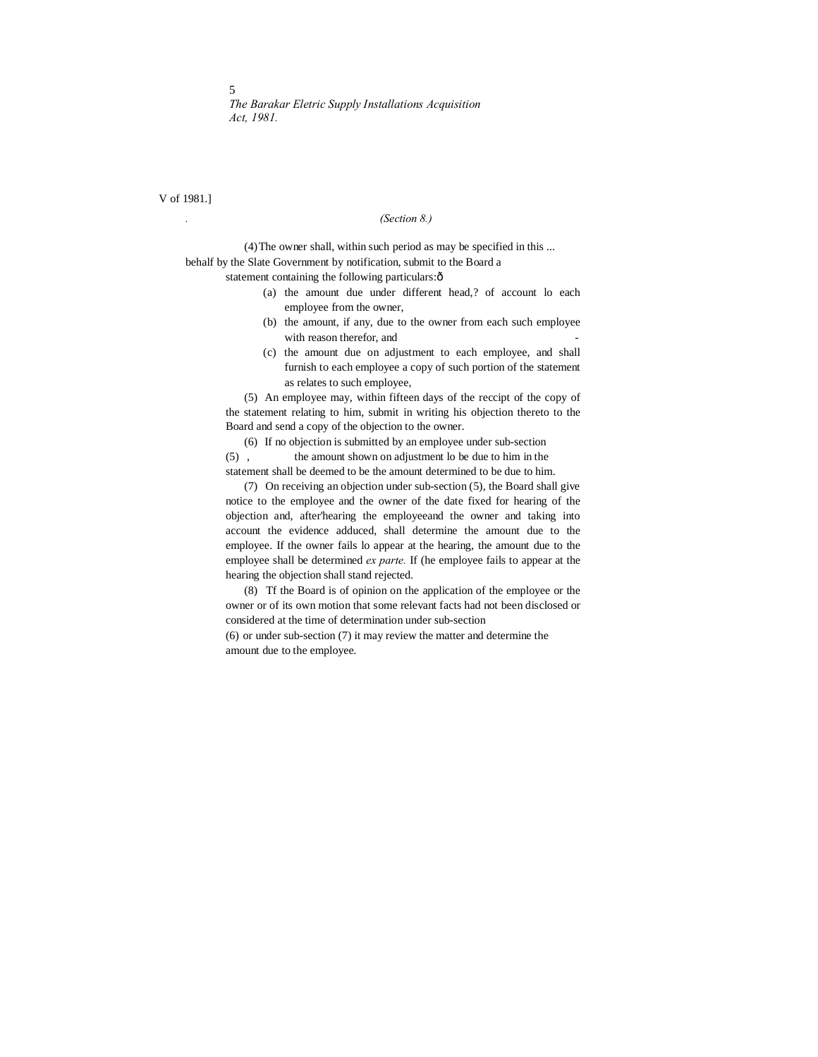V of 1981.]

## *. (Section 8.)*

(4)The owner shall, within such period as may be specified in this ... behalf by the Slate Government by notification, submit to the Board a

statement containing the following particulars: $\hat{o}$ 

- (a) the amount due under different head,? of account lo each employee from the owner,
- (b) the amount, if any, due to the owner from each such employee with reason therefor, and
- (c) the amount due on adjustment to each employee, and shall furnish to each employee a copy of such portion of the statement as relates to such employee,

(5) An employee may, within fifteen days of the reccipt of the copy of the statement relating to him, submit in writing his objection thereto to the Board and send a copy of the objection to the owner.

(6) If no objection is submitted by an employee under sub-section (5) , the amount shown on adjustment lo be due to him in the statement shall be deemed to be the amount determined to be due to him.

(7) On receiving an objection under sub-section (5), the Board shall give notice to the employee and the owner of the date fixed for hearing of the objection and, after'hearing the employeeand the owner and taking into account the evidence adduced, shall determine the amount due to the employee. If the owner fails lo appear at the hearing, the amount due to the employee shall be determined *ex parte.* If (he employee fails to appear at the hearing the objection shall stand rejected.

(8) Tf the Board is of opinion on the application of the employee or the owner or of its own motion that some relevant facts had not been disclosed or considered at the time of determination under sub-section

(6) or under sub-section (7) it may review the matter and determine the amount due to the employee.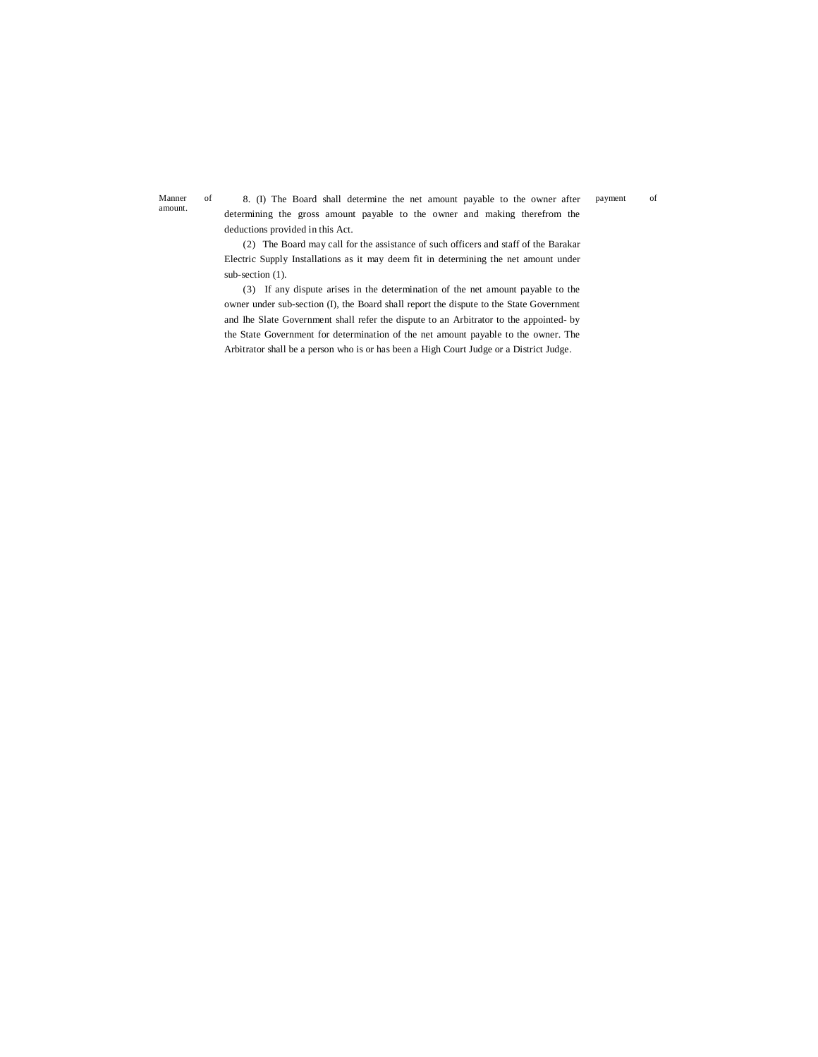amount.

Manner of 8. (I) The Board shall determine the net amount payable to the owner after payment of determining the gross amount payable to the owner and making therefrom the deductions provided in this Act.

> (2) The Board may call for the assistance of such officers and staff of the Barakar Electric Supply Installations as it may deem fit in determining the net amount under sub-section (1).

> (3) If any dispute arises in the determination of the net amount payable to the owner under sub-section (I), the Board shall report the dispute to the State Government and Ihe Slate Government shall refer the dispute to an Arbitrator to the appointed- by the State Government for determination of the net amount payable to the owner. The Arbitrator shall be a person who is or has been a High Court Judge or a District Judge.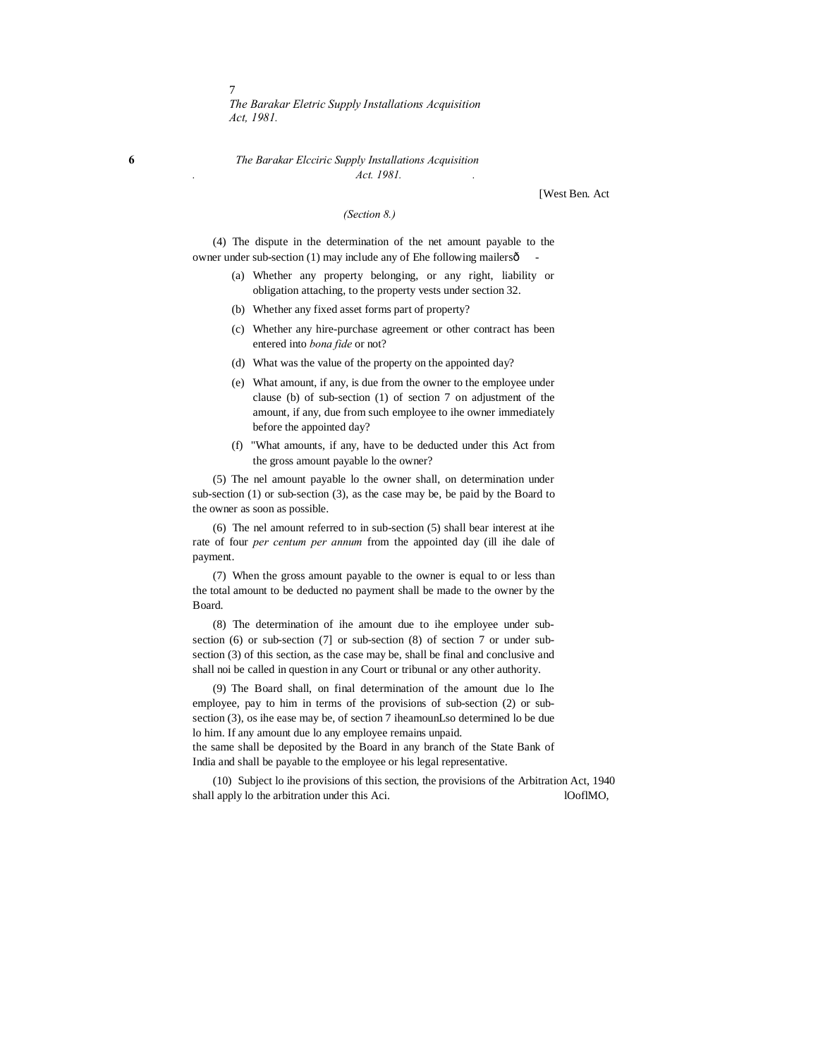**6** *The Barakar Elcciric Supply Installations Acquisition . Act. 1981. .*

[West Ben. Act

#### *(Section 8.)*

(4) The dispute in the determination of the net amount payable to the owner under sub-section (1) may include any of Ehe following mailersô

- (a) Whether any property belonging, or any right, liability or obligation attaching, to the property vests under section 32.
- (b) Whether any fixed asset forms part of property?
- (c) Whether any hire-purchase agreement or other contract has been entered into *bona fide* or not?
- (d) What was the value of the property on the appointed day?
- (e) What amount, if any, is due from the owner to the employee under clause (b) of sub-section (1) of section 7 on adjustment of the amount, if any, due from such employee to ihe owner immediately before the appointed day?
- (f) "What amounts, if any, have to be deducted under this Act from the gross amount payable lo the owner?

(5) The nel amount payable lo the owner shall, on determination under sub-section (1) or sub-section (3), as the case may be, be paid by the Board to the owner as soon as possible.

(6) The nel amount referred to in sub-section (5) shall bear interest at ihe rate of four *per centum per annum* from the appointed day (ill ihe dale of payment.

(7) When the gross amount payable to the owner is equal to or less than the total amount to be deducted no payment shall be made to the owner by the Board.

(8) The determination of ihe amount due to ihe employee under subsection (6) or sub-section (7] or sub-section (8) of section 7 or under subsection (3) of this section, as the case may be, shall be final and conclusive and shall noi be called in question in any Court or tribunal or any other authority.

(9) The Board shall, on final determination of the amount due lo Ihe employee, pay to him in terms of the provisions of sub-section (2) or subsection (3), os ihe ease may be, of section 7 iheamounLso determined lo be due lo him. If any amount due lo any employee remains unpaid.

the same shall be deposited by the Board in any branch of the State Bank of India and shall be payable to the employee or his legal representative.

(10) Subject lo ihe provisions of this section, the provisions of the Arbitration Act, 1940 shall apply lo the arbitration under this Aci. looflMO,

7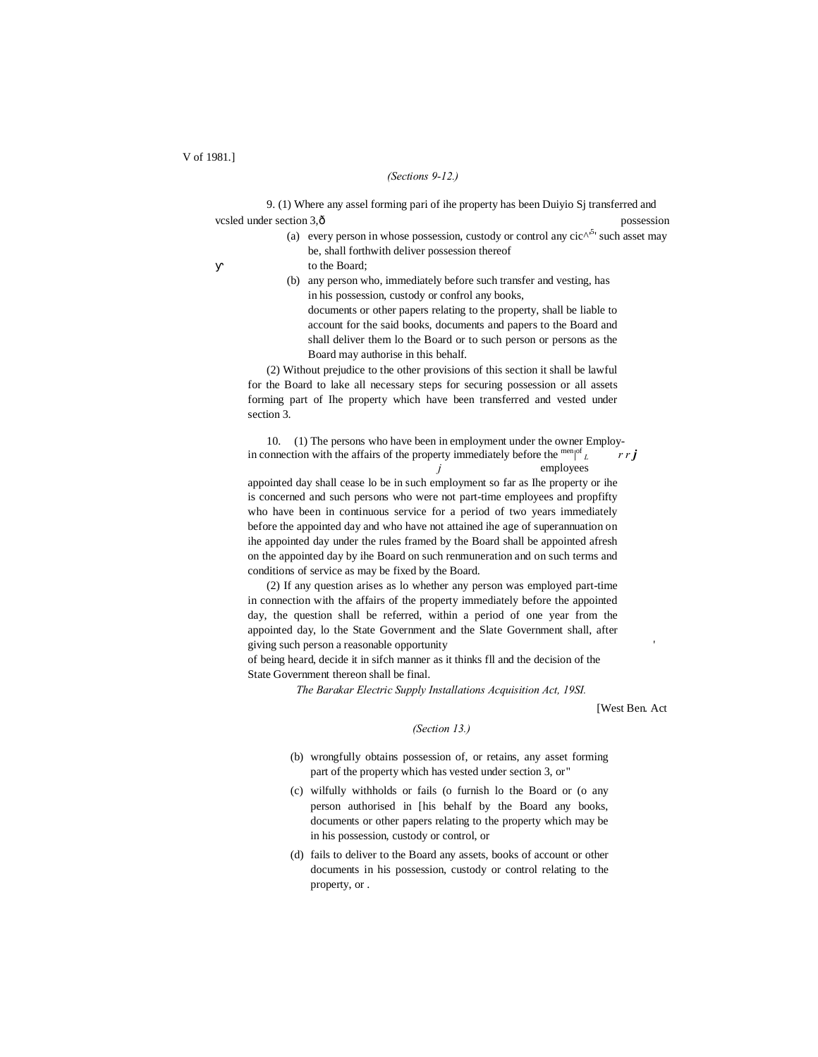#### *(Sections 9-12.)*

9. (1) Where any assel forming pari of ihe property has been Duiyio Sj transferred and vcsled under section 3,  $\hat{o}$  and possession possession

- (a) every person in whose possession, custody or control any  $\operatorname{circ}^{\wedge^{5}}$  such asset may be, shall forthwith deliver possession thereof to the Board;
- (b) any person who, immediately before such transfer and vesting, has in his possession, custody or confrol any books, documents or other papers relating to the property, shall be liable to account for the said books, documents and papers to the Board and shall deliver them lo the Board or to such person or persons as the

(2) Without prejudice to the other provisions of this section it shall be lawful for the Board to lake all necessary steps for securing possession or all assets forming part of Ihe property which have been transferred and vested under section 3.

Board may authorise in this behalf.

10. (1) The persons who have been in employment under the owner Employin connection with the affairs of the property immediately before the men| of *<sup>L</sup> r r j j* employees appointed day shall cease lo be in such employment so far as Ihe property or ihe is concerned and such persons who were not part-time employees and propfifty who have been in continuous service for a period of two years immediately before the appointed day and who have not attained ihe age of superannuation on ihe appointed day under the rules framed by the Board shall be appointed afresh on the appointed day by ihe Board on such renmuneration and on such terms and conditions of service as may be fixed by the Board.

(2) If any question arises as lo whether any person was employed part-time in connection with the affairs of the property immediately before the appointed day, the question shall be referred, within a period of one year from the appointed day, lo the State Government and the Slate Government shall, after giving such person a reasonable opportunity '

of being heard, decide it in sifch manner as it thinks fll and the decision of the State Government thereon shall be final.

*The Barakar Electric Supply Installations Acquisition Act, 19SI.*

[West Ben. Act

#### *(Section 13.)*

- (b) wrongfully obtains possession of, or retains, any asset forming part of the property which has vested under section 3, or"
- (c) wilfully withholds or fails (o furnish lo the Board or (o any person authorised in [his behalf by the Board any books, documents or other papers relating to the property which may be in his possession, custody or control, or
- (d) fails to deliver to the Board any assets, books of account or other documents in his possession, custody or control relating to the property, or .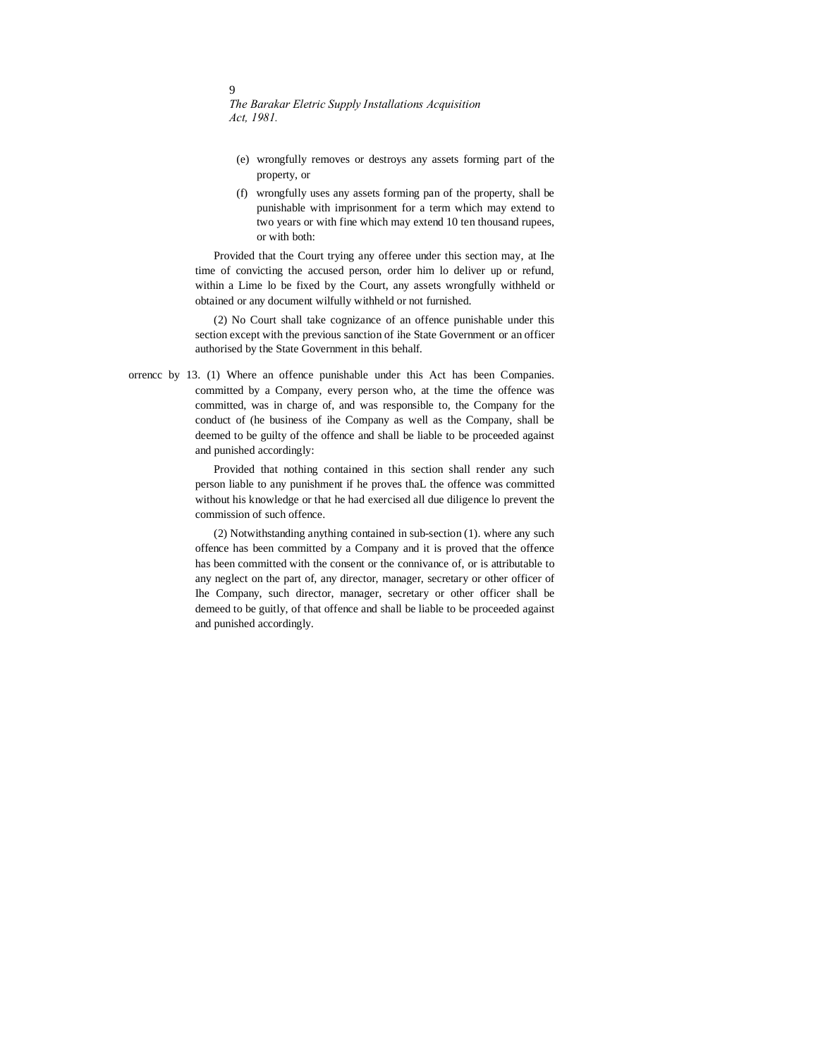# $\overline{Q}$

*The Barakar Eletric Supply Installations Acquisition Act, 1981.*

- (e) wrongfully removes or destroys any assets forming part of the property, or
- (f) wrongfully uses any assets forming pan of the property, shall be punishable with imprisonment for a term which may extend to two years or with fine which may extend 10 ten thousand rupees, or with both:

Provided that the Court trying any offeree under this section may, at Ihe time of convicting the accused person, order him lo deliver up or refund, within a Lime lo be fixed by the Court, any assets wrongfully withheld or obtained or any document wilfully withheld or not furnished.

(2) No Court shall take cognizance of an offence punishable under this section except with the previous sanction of ihe State Government or an officer authorised by the State Government in this behalf.

orrencc by 13. (1) Where an offence punishable under this Act has been Companies. committed by a Company, every person who, at the time the offence was committed, was in charge of, and was responsible to, the Company for the conduct of (he business of ihe Company as well as the Company, shall be deemed to be guilty of the offence and shall be liable to be proceeded against and punished accordingly:

> Provided that nothing contained in this section shall render any such person liable to any punishment if he proves thaL the offence was committed without his knowledge or that he had exercised all due diligence lo prevent the commission of such offence.

> (2) Notwithstanding anything contained in sub-section (1). where any such offence has been committed by a Company and it is proved that the offence has been committed with the consent or the connivance of, or is attributable to any neglect on the part of, any director, manager, secretary or other officer of Ihe Company, such director, manager, secretary or other officer shall be demeed to be guitly, of that offence and shall be liable to be proceeded against and punished accordingly.